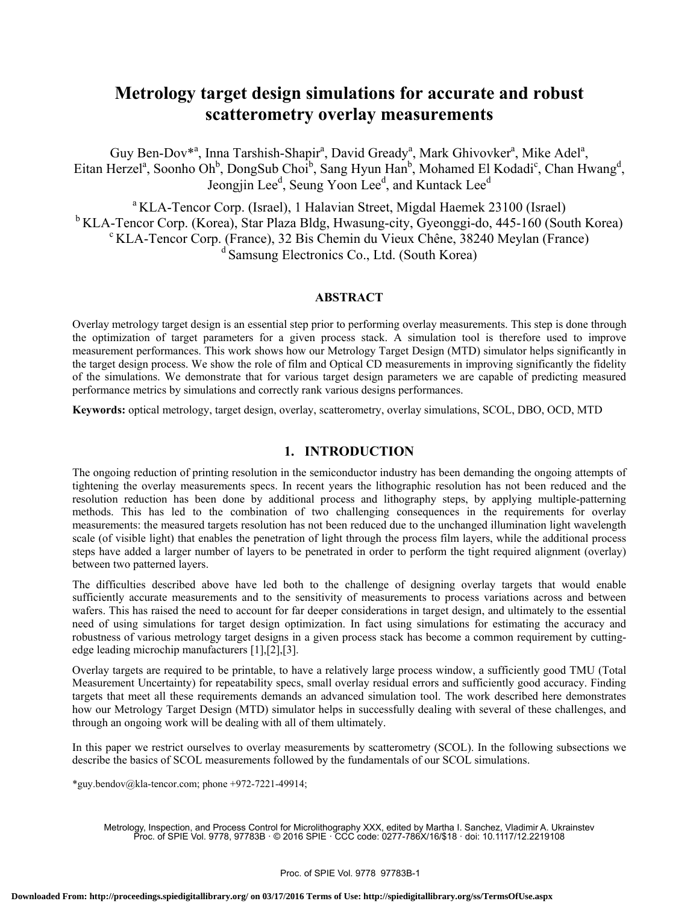# **Metrology target design simulations for accurate and robust scatterometry overlay measurements**

Guy Ben-Dov<sup>\*a</sup>, Inna Tarshish-Shapir<sup>a</sup>, David Gready<sup>a</sup>, Mark Ghivovker<sup>a</sup>, Mike Adel<sup>a</sup>, Eitan Herzel<sup>a</sup>, Soonho Oh<sup>b</sup>, DongSub Choi<sup>b</sup>, Sang Hyun Han<sup>b</sup>, Mohamed El Kodadi<sup>c</sup>, Chan Hwang<sup>d</sup>, Jeongjin Lee<sup>d</sup>, Seung Yoon Lee<sup>d</sup>, and Kuntack Lee<sup>d</sup>

<sup>a</sup> KLA-Tencor Corp. (Israel), 1 Halavian Street, Migdal Haemek 23100 (Israel)  $\rm ^b$  KLA-Tencor Corp. (Korea), Star Plaza Bldg, Hwasung-city, Gyeonggi-do, 445-160 (South Korea) <sup>c</sup> KLA-Tencor Corp. (France), 32 Bis Chemin du Vieux Chêne, 38240 Meylan (France)  $\alpha$ <sup>d</sup> Samsung Electronics Co., Ltd. (South Korea)

# **ABSTRACT**

Overlay metrology target design is an essential step prior to performing overlay measurements. This step is done through the optimization of target parameters for a given process stack. A simulation tool is therefore used to improve measurement performances. This work shows how our Metrology Target Design (MTD) simulator helps significantly in the target design process. We show the role of film and Optical CD measurements in improving significantly the fidelity of the simulations. We demonstrate that for various target design parameters we are capable of predicting measured performance metrics by simulations and correctly rank various designs performances.

**Keywords:** optical metrology, target design, overlay, scatterometry, overlay simulations, SCOL, DBO, OCD, MTD

## **1. INTRODUCTION**

The ongoing reduction of printing resolution in the semiconductor industry has been demanding the ongoing attempts of tightening the overlay measurements specs. In recent years the lithographic resolution has not been reduced and the resolution reduction has been done by additional process and lithography steps, by applying multiple-patterning methods. This has led to the combination of two challenging consequences in the requirements for overlay measurements: the measured targets resolution has not been reduced due to the unchanged illumination light wavelength scale (of visible light) that enables the penetration of light through the process film layers, while the additional process steps have added a larger number of layers to be penetrated in order to perform the tight required alignment (overlay) between two patterned layers.

The difficulties described above have led both to the challenge of designing overlay targets that would enable sufficiently accurate measurements and to the sensitivity of measurements to process variations across and between wafers. This has raised the need to account for far deeper considerations in target design, and ultimately to the essential need of using simulations for target design optimization. In fact using simulations for estimating the accuracy and robustness of various metrology target designs in a given process stack has become a common requirement by cuttingedge leading microchip manufacturers [1],[2],[3].

Overlay targets are required to be printable, to have a relatively large process window, a sufficiently good TMU (Total Measurement Uncertainty) for repeatability specs, small overlay residual errors and sufficiently good accuracy. Finding targets that meet all these requirements demands an advanced simulation tool. The work described here demonstrates how our Metrology Target Design (MTD) simulator helps in successfully dealing with several of these challenges, and through an ongoing work will be dealing with all of them ultimately.

In this paper we restrict ourselves to overlay measurements by scatterometry (SCOL). In the following subsections we describe the basics of SCOL measurements followed by the fundamentals of our SCOL simulations.

\*guy.bendov@kla-tencor.com; phone +972-7221-49914;

Metrology, Inspection, and Process Control for Microlithography XXX, edited by Martha I. Sanchez, Vladimir A. Ukrainstev Proc. of SPIE Vol. 9778, 97783B · © 2016 SPIE · CCC code: 0277-786X/16/\$18 · doi: 10.1117/12.2219108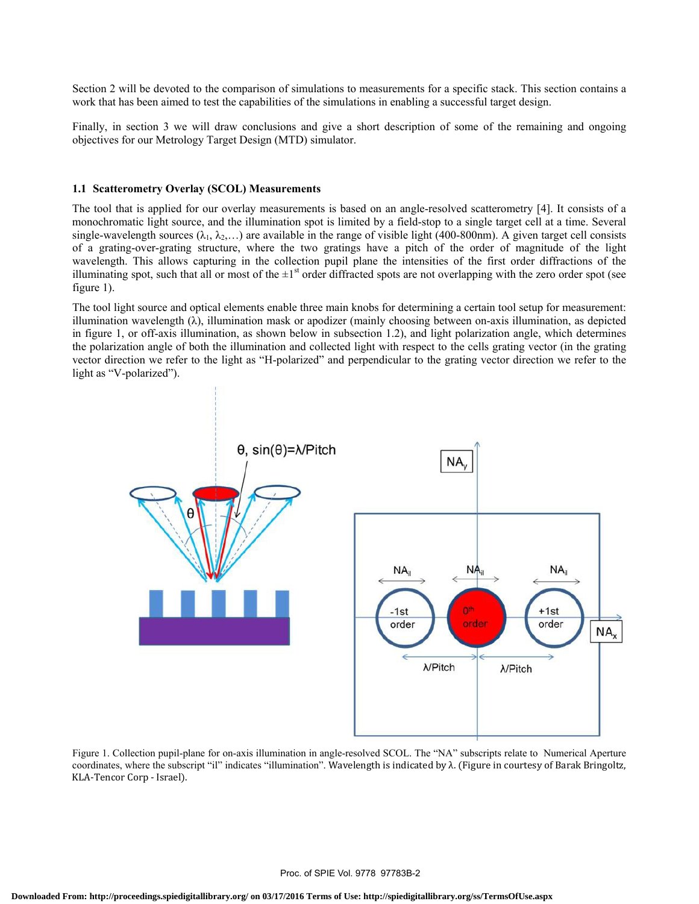Section 2 will be devoted to the comparison of simulations to measurements for a specific stack. This section contains a work that has been aimed to test the capabilities of the simulations in enabling a successful target design.

Finally, in section 3 we will draw conclusions and give a short description of some of the remaining and ongoing objectives for our Metrology Target Design (MTD) simulator.

## **1.1 Scatterometry Overlay (SCOL) Measurements**

The tool that is applied for our overlay measurements is based on an angle-resolved scatterometry [4]. It consists of a monochromatic light source, and the illumination spot is limited by a field-stop to a single target cell at a time. Several single-wavelength sources ( $\lambda_1, \lambda_2, \ldots$ ) are available in the range of visible light (400-800nm). A given target cell consists of a grating-over-grating structure, where the two gratings have a pitch of the order of magnitude of the light wavelength. This allows capturing in the collection pupil plane the intensities of the first order diffractions of the illuminating spot, such that all or most of the  $\pm 1$ <sup>st</sup> order diffracted spots are not overlapping with the zero order spot (see figure 1).

The tool light source and optical elements enable three main knobs for determining a certain tool setup for measurement: illumination wavelength (λ), illumination mask or apodizer (mainly choosing between on-axis illumination, as depicted in figure 1, or off-axis illumination, as shown below in subsection 1.2), and light polarization angle, which determines the polarization angle of both the illumination and collected light with respect to the cells grating vector (in the grating vector direction we refer to the light as "H-polarized" and perpendicular to the grating vector direction we refer to the light as "V-polarized").



Figure 1. Collection pupil-plane for on-axis illumination in angle-resolved SCOL. The "NA" subscripts relate to Numerical Aperture coordinates, where the subscript "il" indicates "illumination". Wavelength is indicated by λ. (Figure in courtesy of Barak Bringoltz, KLA-Tencor Corp - Israel).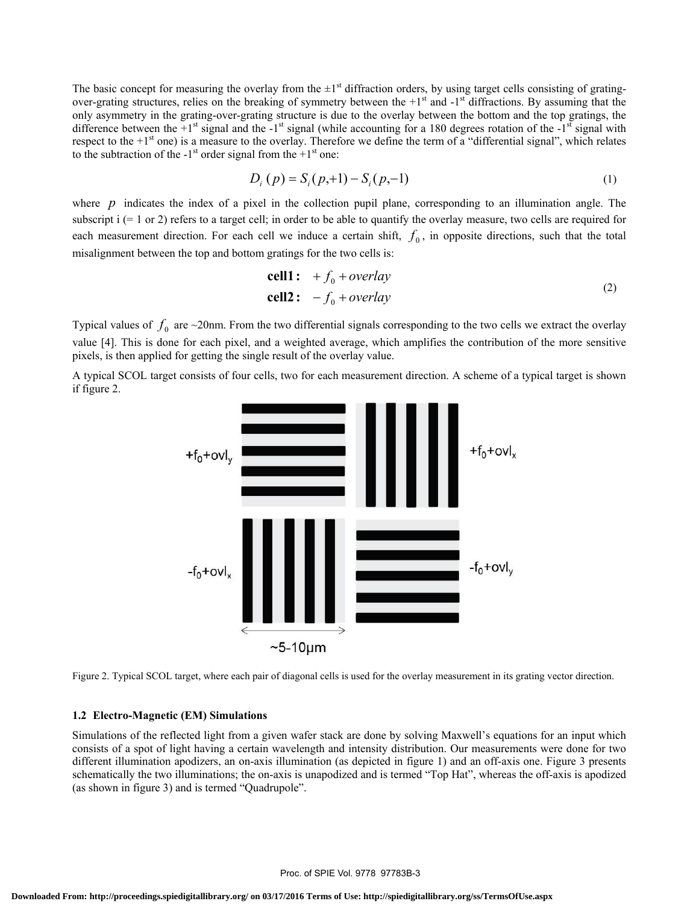The basic concept for measuring the overlay from the  $\pm 1$ <sup>st</sup> diffraction orders, by using target cells consisting of gratingover-grating structures, relies on the breaking of symmetry between the  $+1<sup>st</sup>$  and  $-1<sup>st</sup>$  diffractions. By assuming that the only asymmetry in the grating-over-grating structure is due to the overlay between the bottom and the top gratings, the difference between the  $+1^{st}$  signal and the  $-1^{st}$  signal (while accounting for a 180 degrees rotation of the  $-1^{st}$  signal with respect to the  $+1<sup>st</sup>$  one) is a measure to the overlay. Therefore we define the term of a "differential signal", which relates to the subtraction of the  $-1<sup>st</sup>$  order signal from the  $+1<sup>st</sup>$  one:

$$
D_i(p) = S_i(p+1) - S_i(p-1)
$$
 (1)

where  $p$  indicates the index of a pixel in the collection pupil plane, corresponding to an illumination angle. The subscript  $i$  (= 1 or 2) refers to a target cell; in order to be able to quantify the overlay measure, two cells are required for each measurement direction. For each cell we induce a certain shift,  $f_0$ , in opposite directions, such that the total misalignment between the top and bottom gratings for the two cells is:

$$
\text{cell1:} \quad +f_0 + \text{overlap} \\ \text{cell2:} \quad -f_0 + \text{overlap} \tag{2}
$$

Typical values of  $f_0$  are  $\sim$ 20nm. From the two differential signals corresponding to the two cells we extract the overlay value [4]. This is done for each pixel, and a weighted average, which amplifies the contribution of the more sensitive pixels, is then applied for getting the single result of the overlay value.

A typical SCOL target consists of four cells, two for each measurement direction. A scheme of a typical target is shown if figure 2.



Figure 2. Typical SCOL target, where each pair of diagonal cells is used for the overlay measurement in its grating vector direction.

#### **1.2 Electro-Magnetic (EM) Simulations**

Simulations of the reflected light from a given wafer stack are done by solving Maxwell's equations for an input which consists of a spot of light having a certain wavelength and intensity distribution. Our measurements were done for two different illumination apodizers, an on-axis illumination (as depicted in figure 1) and an off-axis one. Figure 3 presents schematically the two illuminations; the on-axis is unapodized and is termed "Top Hat", whereas the off-axis is apodized (as shown in figure 3) and is termed "Quadrupole".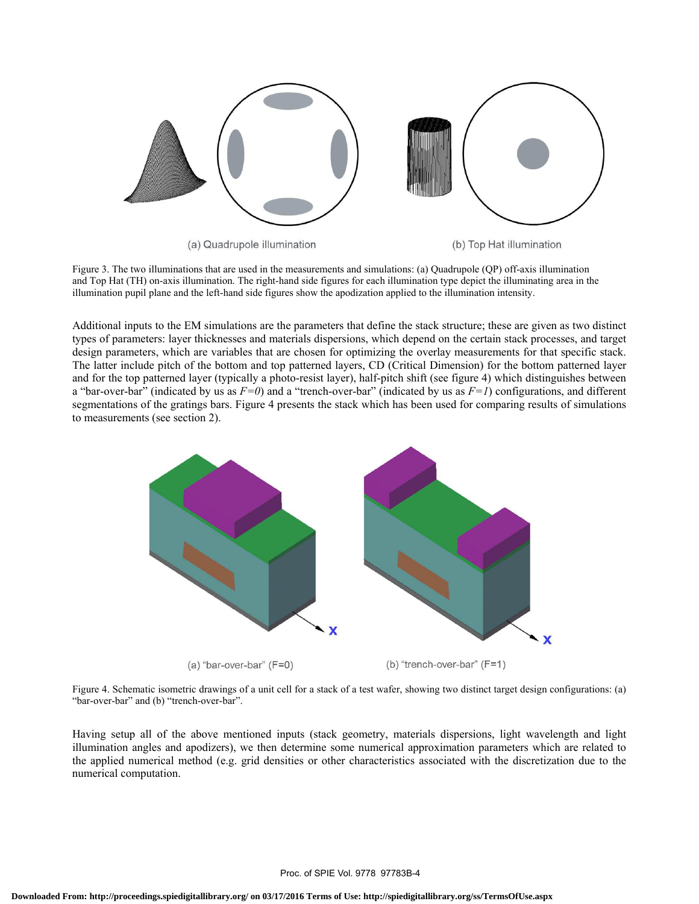

Figure 3. The two illuminations that are used in the measurements and simulations: (a) Quadrupole (QP) off-axis illumination and Top Hat (TH) on-axis illumination. The right-hand side figures for each illumination type depict the illuminating area in the illumination pupil plane and the left-hand side figures show the apodization applied to the illumination intensity.

Additional inputs to the EM simulations are the parameters that define the stack structure; these are given as two distinct types of parameters: layer thicknesses and materials dispersions, which depend on the certain stack processes, and target design parameters, which are variables that are chosen for optimizing the overlay measurements for that specific stack. The latter include pitch of the bottom and top patterned layers, CD (Critical Dimension) for the bottom patterned layer and for the top patterned layer (typically a photo-resist layer), half-pitch shift (see figure 4) which distinguishes between a "bar-over-bar" (indicated by us as  $F=0$ ) and a "trench-over-bar" (indicated by us as  $F=1$ ) configurations, and different segmentations of the gratings bars. Figure 4 presents the stack which has been used for comparing results of simulations to measurements (see section 2).



Figure 4. Schematic isometric drawings of a unit cell for a stack of a test wafer, showing two distinct target design configurations: (a) "bar-over-bar" and (b) "trench-over-bar".

Having setup all of the above mentioned inputs (stack geometry, materials dispersions, light wavelength and light illumination angles and apodizers), we then determine some numerical approximation parameters which are related to the applied numerical method (e.g. grid densities or other characteristics associated with the discretization due to the numerical computation.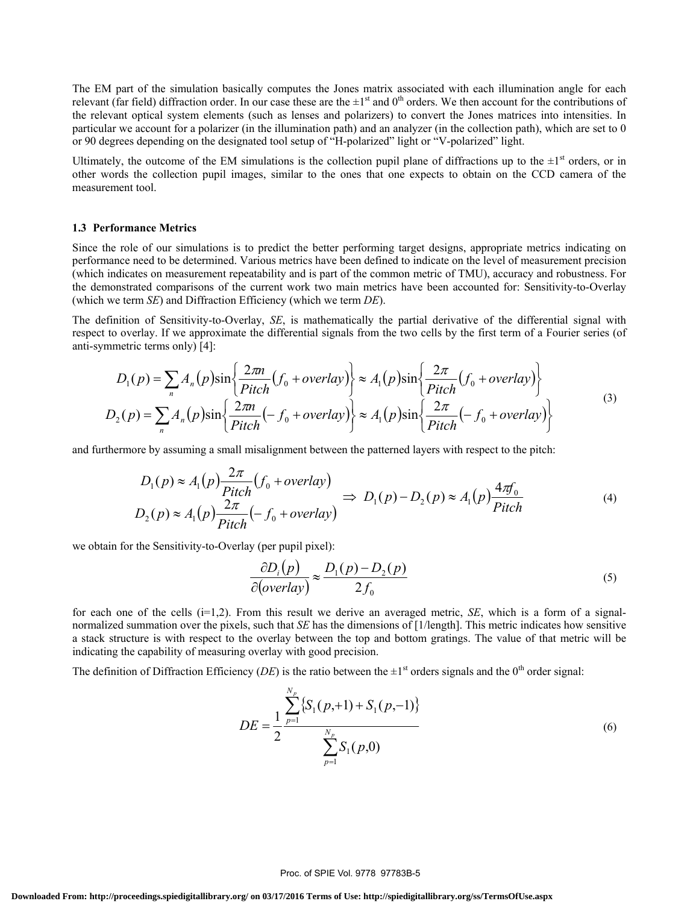The EM part of the simulation basically computes the Jones matrix associated with each illumination angle for each relevant (far field) diffraction order. In our case these are the  $\pm 1$ <sup>st</sup> and 0<sup>th</sup> orders. We then account for the contributions of the relevant optical system elements (such as lenses and polarizers) to convert the Jones matrices into intensities. In particular we account for a polarizer (in the illumination path) and an analyzer (in the collection path), which are set to 0 or 90 degrees depending on the designated tool setup of "H-polarized" light or "V-polarized" light.

Ultimately, the outcome of the EM simulations is the collection pupil plane of diffractions up to the  $\pm 1^{\text{st}}$  orders, or in other words the collection pupil images, similar to the ones that one expects to obtain on the CCD camera of the measurement tool.

#### **1.3 Performance Metrics**

Since the role of our simulations is to predict the better performing target designs, appropriate metrics indicating on performance need to be determined. Various metrics have been defined to indicate on the level of measurement precision (which indicates on measurement repeatability and is part of the common metric of TMU), accuracy and robustness. For the demonstrated comparisons of the current work two main metrics have been accounted for: Sensitivity-to-Overlay (which we term *SE*) and Diffraction Efficiency (which we term *DE*).

The definition of Sensitivity-to-Overlay, *SE*, is mathematically the partial derivative of the differential signal with respect to overlay. If we approximate the differential signals from the two cells by the first term of a Fourier series (of anti-symmetric terms only) [4]:

$$
D_1(p) = \sum_n A_n(p) \sin\left\{\frac{2\pi n}{Pitch}(f_0 + overlap)\right\} \approx A_1(p) \sin\left\{\frac{2\pi}{Pitch}(f_0 + overlap)\right\}
$$
  

$$
D_2(p) = \sum_n A_n(p) \sin\left\{\frac{2\pi n}{Pitch}(-f_0 + overlap)\right\} \approx A_1(p) \sin\left\{\frac{2\pi}{Pitch}(-f_0 + overlap)\right\}
$$
 (3)

and furthermore by assuming a small misalignment between the patterned layers with respect to the pitch:

$$
D_1(p) \approx A_1(p) \frac{2\pi}{Pitch} (f_0 + overlap) \Rightarrow D_1(p) - D_2(p) \approx A_1(p) \frac{4\pi f_0}{Pitch}
$$
\n
$$
D_2(p) \approx A_1(p) \frac{2\pi}{Pitch} (-f_0 + overlap)
$$
\n(4)

we obtain for the Sensitivity-to-Overlay (per pupil pixel):

$$
\frac{\partial D_i(p)}{\partial (overday)} \approx \frac{D_1(p) - D_2(p)}{2f_0}
$$
\n(5)

for each one of the cells (i=1,2). From this result we derive an averaged metric, *SE*, which is a form of a signalnormalized summation over the pixels, such that *SE* has the dimensions of [1/length]. This metric indicates how sensitive a stack structure is with respect to the overlay between the top and bottom gratings. The value of that metric will be indicating the capability of measuring overlay with good precision.

The definition of Diffraction Efficiency (*DE*) is the ratio between the  $\pm 1^{st}$  orders signals and the 0<sup>th</sup> order signal:

$$
DE = \frac{1}{2} \frac{\sum_{p=1}^{N_p} \{S_1(p, +1) + S_1(p, -1)\}}{\sum_{p=1}^{N_p} S_1(p, 0)}
$$
(6)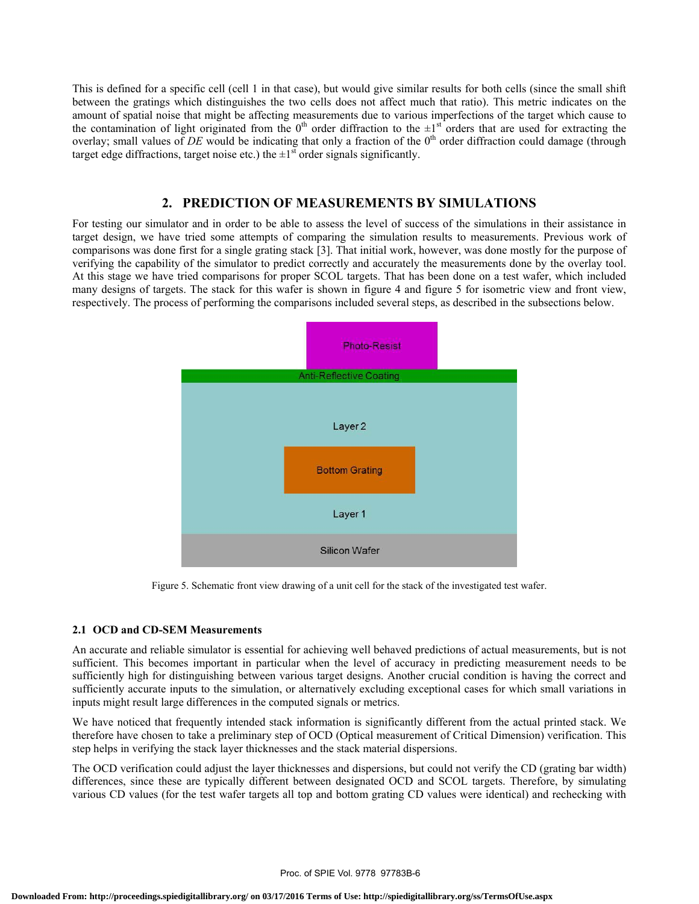This is defined for a specific cell (cell 1 in that case), but would give similar results for both cells (since the small shift between the gratings which distinguishes the two cells does not affect much that ratio). This metric indicates on the amount of spatial noise that might be affecting measurements due to various imperfections of the target which cause to the contamination of light originated from the  $0<sup>th</sup>$  order diffraction to the  $\pm 1<sup>st</sup>$  orders that are used for extracting the overlay; small values of *DE* would be indicating that only a fraction of the 0<sup>th</sup> order diffraction could damage (through target edge diffractions, target noise etc.) the  $\pm 1^{\text{st}}$  order signals significantly.

# **2. PREDICTION OF MEASUREMENTS BY SIMULATIONS**

For testing our simulator and in order to be able to assess the level of success of the simulations in their assistance in target design, we have tried some attempts of comparing the simulation results to measurements. Previous work of comparisons was done first for a single grating stack [3]. That initial work, however, was done mostly for the purpose of verifying the capability of the simulator to predict correctly and accurately the measurements done by the overlay tool. At this stage we have tried comparisons for proper SCOL targets. That has been done on a test wafer, which included many designs of targets. The stack for this wafer is shown in figure 4 and figure 5 for isometric view and front view, respectively. The process of performing the comparisons included several steps, as described in the subsections below.



Figure 5. Schematic front view drawing of a unit cell for the stack of the investigated test wafer.

## **2.1 OCD and CD-SEM Measurements**

An accurate and reliable simulator is essential for achieving well behaved predictions of actual measurements, but is not sufficient. This becomes important in particular when the level of accuracy in predicting measurement needs to be sufficiently high for distinguishing between various target designs. Another crucial condition is having the correct and sufficiently accurate inputs to the simulation, or alternatively excluding exceptional cases for which small variations in inputs might result large differences in the computed signals or metrics.

We have noticed that frequently intended stack information is significantly different from the actual printed stack. We therefore have chosen to take a preliminary step of OCD (Optical measurement of Critical Dimension) verification. This step helps in verifying the stack layer thicknesses and the stack material dispersions.

The OCD verification could adjust the layer thicknesses and dispersions, but could not verify the CD (grating bar width) differences, since these are typically different between designated OCD and SCOL targets. Therefore, by simulating various CD values (for the test wafer targets all top and bottom grating CD values were identical) and rechecking with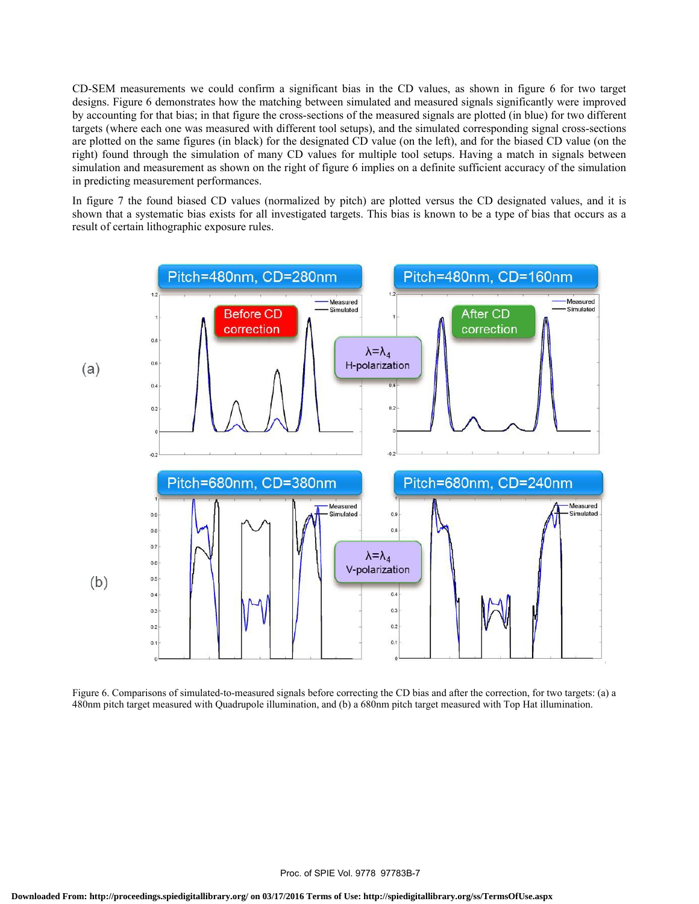CD-SEM measurements we could confirm a significant bias in the CD values, as shown in figure 6 for two target designs. Figure 6 demonstrates how the matching between simulated and measured signals significantly were improved by accounting for that bias; in that figure the cross-sections of the measured signals are plotted (in blue) for two different targets (where each one was measured with different tool setups), and the simulated corresponding signal cross-sections are plotted on the same figures (in black) for the designated CD value (on the left), and for the biased CD value (on the right) found through the simulation of many CD values for multiple tool setups. Having a match in signals between simulation and measurement as shown on the right of figure 6 implies on a definite sufficient accuracy of the simulation in predicting measurement performances.

In figure 7 the found biased CD values (normalized by pitch) are plotted versus the CD designated values, and it is shown that a systematic bias exists for all investigated targets. This bias is known to be a type of bias that occurs as a result of certain lithographic exposure rules.



Figure 6. Comparisons of simulated-to-measured signals before correcting the CD bias and after the correction, for two targets: (a) a 480nm pitch target measured with Quadrupole illumination, and (b) a 680nm pitch target measured with Top Hat illumination.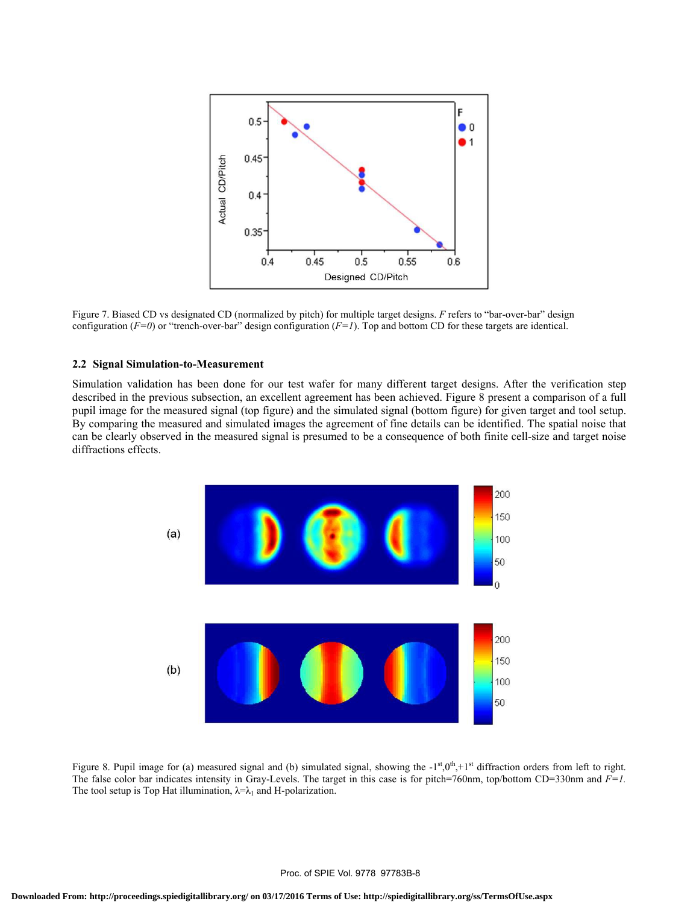

Figure 7. Biased CD vs designated CD (normalized by pitch) for multiple target designs. *F* refers to "bar-over-bar" design configuration ( $F=0$ ) or "trench-over-bar" design configuration ( $F=1$ ). Top and bottom CD for these targets are identical.

#### **2.2 Signal Simulation-to-Measurement**

Simulation validation has been done for our test wafer for many different target designs. After the verification step described in the previous subsection, an excellent agreement has been achieved. Figure 8 present a comparison of a full pupil image for the measured signal (top figure) and the simulated signal (bottom figure) for given target and tool setup. By comparing the measured and simulated images the agreement of fine details can be identified. The spatial noise that can be clearly observed in the measured signal is presumed to be a consequence of both finite cell-size and target noise diffractions effects.



Figure 8. Pupil image for (a) measured signal and (b) simulated signal, showing the  $-1<sup>st</sup>,0<sup>th</sup>,+1<sup>st</sup>$  diffraction orders from left to right. The false color bar indicates intensity in Gray-Levels. The target in this case is for pitch=760nm, top/bottom CD=330nm and *F=1.* The tool setup is Top Hat illumination,  $\lambda = \lambda_1$  and H-polarization.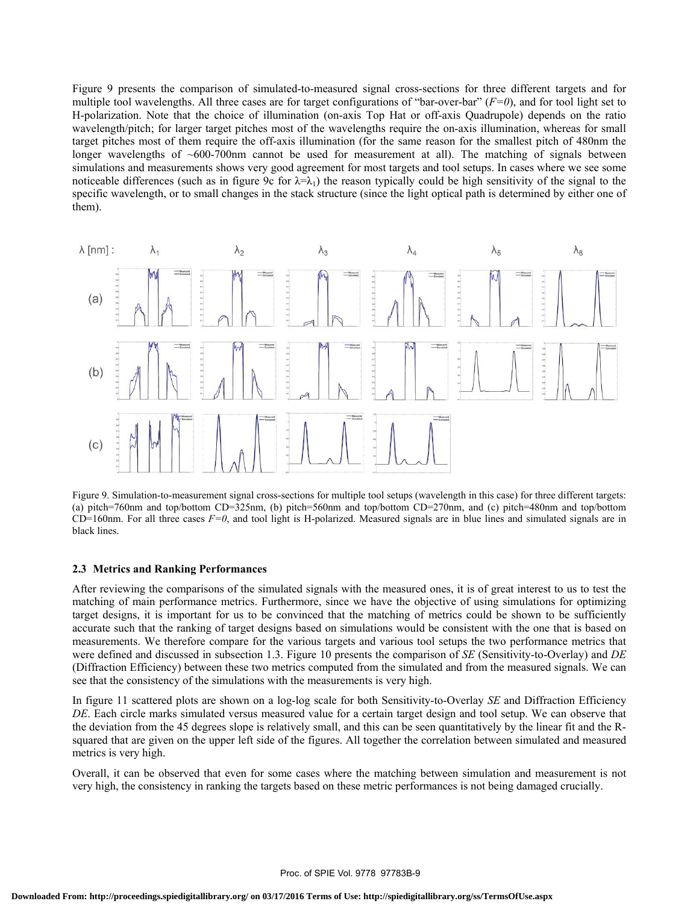Figure 9 presents the comparison of simulated-to-measured signal cross-sections for three different targets and for multiple tool wavelengths. All three cases are for target configurations of "bar-over-bar"  $(F=0)$ , and for tool light set to H-polarization. Note that the choice of illumination (on-axis Top Hat or off-axis Quadrupole) depends on the ratio wavelength/pitch; for larger target pitches most of the wavelengths require the on-axis illumination, whereas for small target pitches most of them require the off-axis illumination (for the same reason for the smallest pitch of 480nm the longer wavelengths of ~600-700nm cannot be used for measurement at all). The matching of signals between simulations and measurements shows very good agreement for most targets and tool setups. In cases where we see some noticeable differences (such as in figure 9c for  $\lambda = \lambda_1$ ) the reason typically could be high sensitivity of the signal to the specific wavelength, or to small changes in the stack structure (since the light optical path is determined by either one of them).



Figure 9. Simulation-to-measurement signal cross-sections for multiple tool setups (wavelength in this case) for three different targets: (a) pitch=760nm and top/bottom CD=325nm, (b) pitch=560nm and top/bottom CD=270nm, and (c) pitch=480nm and top/bottom CD=160nm. For all three cases *F=0*, and tool light is H-polarized. Measured signals are in blue lines and simulated signals are in black lines.

## **2.3 Metrics and Ranking Performances**

After reviewing the comparisons of the simulated signals with the measured ones, it is of great interest to us to test the matching of main performance metrics. Furthermore, since we have the objective of using simulations for optimizing target designs, it is important for us to be convinced that the matching of metrics could be shown to be sufficiently accurate such that the ranking of target designs based on simulations would be consistent with the one that is based on measurements. We therefore compare for the various targets and various tool setups the two performance metrics that were defined and discussed in subsection 1.3. Figure 10 presents the comparison of *SE* (Sensitivity-to-Overlay) and *DE* (Diffraction Efficiency) between these two metrics computed from the simulated and from the measured signals. We can see that the consistency of the simulations with the measurements is very high.

In figure 11 scattered plots are shown on a log-log scale for both Sensitivity-to-Overlay *SE* and Diffraction Efficiency *DE*. Each circle marks simulated versus measured value for a certain target design and tool setup. We can observe that the deviation from the 45 degrees slope is relatively small, and this can be seen quantitatively by the linear fit and the Rsquared that are given on the upper left side of the figures. All together the correlation between simulated and measured metrics is very high.

Overall, it can be observed that even for some cases where the matching between simulation and measurement is not very high, the consistency in ranking the targets based on these metric performances is not being damaged crucially.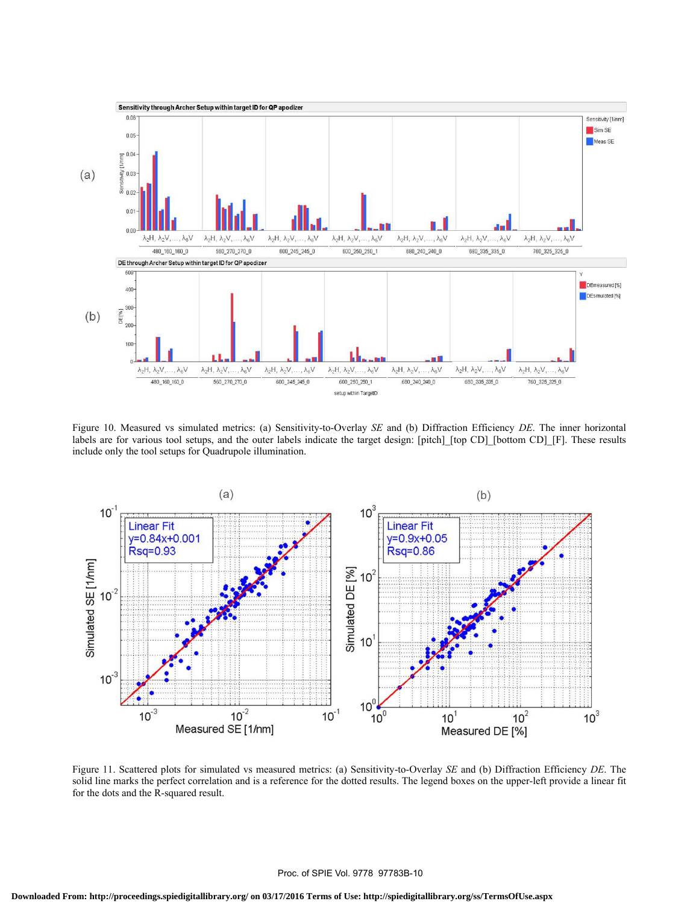

Figure 10. Measured vs simulated metrics: (a) Sensitivity-to-Overlay *SE* and (b) Diffraction Efficiency *DE*. The inner horizontal labels are for various tool setups, and the outer labels indicate the target design: [pitch] [top CD] [bottom CD] [F]. These results include only the tool setups for Quadrupole illumination.



Figure 11. Scattered plots for simulated vs measured metrics: (a) Sensitivity-to-Overlay *SE* and (b) Diffraction Efficiency *DE*. The solid line marks the perfect correlation and is a reference for the dotted results. The legend boxes on the upper-left provide a linear fit for the dots and the R-squared result.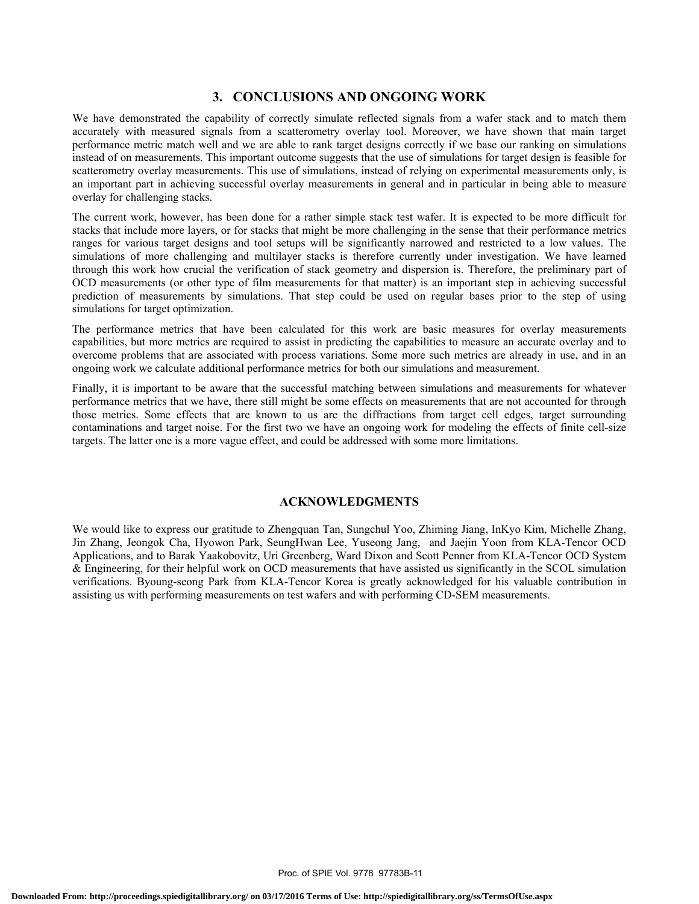# **3. CONCLUSIONS AND ONGOING WORK**

We have demonstrated the capability of correctly simulate reflected signals from a wafer stack and to match them accurately with measured signals from a scatterometry overlay tool. Moreover, we have shown that main target performance metric match well and we are able to rank target designs correctly if we base our ranking on simulations instead of on measurements. This important outcome suggests that the use of simulations for target design is feasible for scatterometry overlay measurements. This use of simulations, instead of relying on experimental measurements only, is an important part in achieving successful overlay measurements in general and in particular in being able to measure overlay for challenging stacks.

The current work, however, has been done for a rather simple stack test wafer. It is expected to be more difficult for stacks that include more layers, or for stacks that might be more challenging in the sense that their performance metrics ranges for various target designs and tool setups will be significantly narrowed and restricted to a low values. The simulations of more challenging and multilayer stacks is therefore currently under investigation. We have learned through this work how crucial the verification of stack geometry and dispersion is. Therefore, the preliminary part of OCD measurements (or other type of film measurements for that matter) is an important step in achieving successful prediction of measurements by simulations. That step could be used on regular bases prior to the step of using simulations for target optimization.

The performance metrics that have been calculated for this work are basic measures for overlay measurements capabilities, but more metrics are required to assist in predicting the capabilities to measure an accurate overlay and to overcome problems that are associated with process variations. Some more such metrics are already in use, and in an ongoing work we calculate additional performance metrics for both our simulations and measurement.

Finally, it is important to be aware that the successful matching between simulations and measurements for whatever performance metrics that we have, there still might be some effects on measurements that are not accounted for through those metrics. Some effects that are known to us are the diffractions from target cell edges, target surrounding contaminations and target noise. For the first two we have an ongoing work for modeling the effects of finite cell-size targets. The latter one is a more vague effect, and could be addressed with some more limitations.

## **ACKNOWLEDGMENTS**

We would like to express our gratitude to Zhengquan Tan, Sungchul Yoo, Zhiming Jiang, InKyo Kim, Michelle Zhang, Jin Zhang, Jeongok Cha, Hyowon Park, SeungHwan Lee, Yuseong Jang, and Jaejin Yoon from KLA-Tencor OCD Applications, and to Barak Yaakobovitz, Uri Greenberg, Ward Dixon and Scott Penner from KLA-Tencor OCD System & Engineering, for their helpful work on OCD measurements that have assisted us significantly in the SCOL simulation verifications. Byoung-seong Park from KLA-Tencor Korea is greatly acknowledged for his valuable contribution in assisting us with performing measurements on test wafers and with performing CD-SEM measurements.